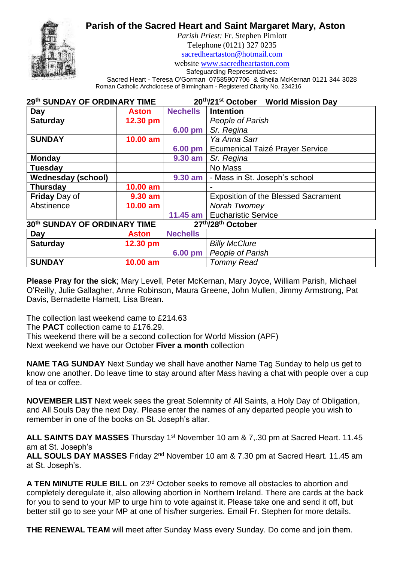# **Parish of the Sacred Heart and Saint Margaret Mary, Aston**



*Parish Priest:* Fr. Stephen Pimlott Telephone (0121) 327 0235

[sacredheartaston@hotmail.com](mailto:sacredheartaston@hotmail.com)

website [www.sacredheartaston.com](http://www.sacredheartaston.com/)

Safeguarding Representatives:

*People of Parish*

Sacred Heart - Teresa O'Gorman 07585907706 & Sheila McKernan 0121 344 3028 Roman Catholic Archdiocese of Birmingham - Registered Charity No. 234216

| 29th SUNDAY OF ORDINARY TIME                      |                   |                 | 20th/21st October World Mission Day        |
|---------------------------------------------------|-------------------|-----------------|--------------------------------------------|
| Day                                               | <b>Aston</b>      | <b>Nechells</b> | <b>Intention</b>                           |
| <b>Saturday</b>                                   | 12.30 pm          |                 | People of Parish                           |
|                                                   |                   | 6.00 pm         | Sr. Regina                                 |
| <b>SUNDAY</b>                                     | $10.00$ am        |                 | Ya Anna Sarr                               |
|                                                   |                   | 6.00 pm         | Ecumenical Taizé Prayer Service            |
| <b>Monday</b>                                     |                   | 9.30 am         | Sr. Regina                                 |
| <b>Tuesday</b>                                    |                   |                 | No Mass                                    |
| <b>Wednesday (school)</b>                         |                   | 9.30 am         | - Mass in St. Joseph's school              |
| <b>Thursday</b>                                   | 10.00 am          |                 |                                            |
| <b>Friday Day of</b>                              | $9.30 \text{ am}$ |                 | <b>Exposition of the Blessed Sacrament</b> |
| Abstinence                                        | $10.00$ am        |                 | Norah Twomey                               |
|                                                   |                   | $11.45$ am      | <b>Eucharistic Service</b>                 |
| 30th SUNDAY OF ORDINARY TIME<br>27th/28th October |                   |                 |                                            |
| Day                                               | <b>Aston</b>      | <b>Nechells</b> |                                            |
| <b>Saturday</b>                                   | 12.30 pm          |                 | <b>Billy McClure</b>                       |

**Please Pray for the sick**; Mary Levell, Peter McKernan, Mary Joyce, William Parish, Michael O'Reilly, Julie Gallagher, Anne Robinson, Maura Greene, John Mullen, Jimmy Armstrong, Pat Davis, Bernadette Harnett, Lisa Brean.

**6.00 pm**

The collection last weekend came to £214.63

The **PACT** collection came to £176.29.

This weekend there will be a second collection for World Mission (APF) Next weekend we have our October **Fiver a month** collection

**SUNDAY 10.00 am** *Tommy Read*

**NAME TAG SUNDAY** Next Sunday we shall have another Name Tag Sunday to help us get to know one another. Do leave time to stay around after Mass having a chat with people over a cup of tea or coffee.

**NOVEMBER LIST** Next week sees the great Solemnity of All Saints, a Holy Day of Obligation, and All Souls Day the next Day. Please enter the names of any departed people you wish to remember in one of the books on St. Joseph's altar.

**ALL SAINTS DAY MASSES** Thursday 1st November 10 am & 7,.30 pm at Sacred Heart. 11.45 am at St. Joseph's

**ALL SOULS DAY MASSES** Friday 2nd November 10 am & 7.30 pm at Sacred Heart. 11.45 am at St. Joseph's.

**A TEN MINUTE RULE BILL** on 23rd October seeks to remove all obstacles to abortion and completely deregulate it, also allowing abortion in Northern Ireland. There are cards at the back for you to send to your MP to urge him to vote against it. Please take one and send it off, but better still go to see your MP at one of his/her surgeries. Email Fr. Stephen for more details.

**THE RENEWAL TEAM** will meet after Sunday Mass every Sunday. Do come and join them.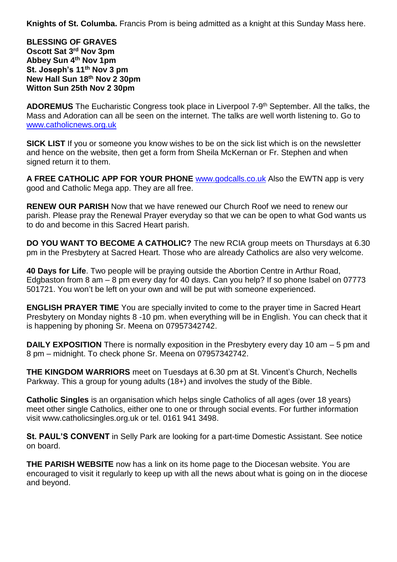**Knights of St. Columba.** Francis Prom is being admitted as a knight at this Sunday Mass here.

**BLESSING OF GRAVES Oscott Sat 3rd Nov 3pm Abbey Sun 4th Nov 1pm St. Joseph's 11th Nov 3 pm New Hall Sun 18th Nov 2 30pm Witton Sun 25th Nov 2 30pm**

ADOREMUS The Eucharistic Congress took place in Liverpool 7-9<sup>th</sup> September. All the talks, the Mass and Adoration can all be seen on the internet. The talks are well worth listening to. Go to [www.catholicnews.org.uk](http://www.catholicnews.org.uk/)

**SICK LIST** If you or someone you know wishes to be on the sick list which is on the newsletter and hence on the website, then get a form from Sheila McKernan or Fr. Stephen and when signed return it to them.

**A FREE CATHOLIC APP FOR YOUR PHONE** [www.godcalls.co.uk](http://www.godcalls.co.uk/) Also the EWTN app is very good and Catholic Mega app. They are all free.

**RENEW OUR PARISH** Now that we have renewed our Church Roof we need to renew our parish. Please pray the Renewal Prayer everyday so that we can be open to what God wants us to do and become in this Sacred Heart parish.

**DO YOU WANT TO BECOME A CATHOLIC?** The new RCIA group meets on Thursdays at 6.30 pm in the Presbytery at Sacred Heart. Those who are already Catholics are also very welcome.

**40 Days for Life**. Two people will be praying outside the Abortion Centre in Arthur Road, Edgbaston from 8 am – 8 pm every day for 40 days. Can you help? If so phone Isabel on 07773 501721. You won't be left on your own and will be put with someone experienced.

**ENGLISH PRAYER TIME** You are specially invited to come to the prayer time in Sacred Heart Presbytery on Monday nights 8 -10 pm. when everything will be in English. You can check that it is happening by phoning Sr. Meena on 07957342742.

**DAILY EXPOSITION** There is normally exposition in the Presbytery every day 10 am – 5 pm and 8 pm – midnight. To check phone Sr. Meena on 07957342742.

**THE KINGDOM WARRIORS** meet on Tuesdays at 6.30 pm at St. Vincent's Church, Nechells Parkway. This a group for young adults (18+) and involves the study of the Bible.

**Catholic Singles** is an organisation which helps single Catholics of all ages (over 18 years) meet other single Catholics, either one to one or through social events. For further information visit www.catholicsingles.org.uk or tel. 0161 941 3498.

**St. PAUL'S CONVENT** in Selly Park are looking for a part-time Domestic Assistant. See notice on board.

**THE PARISH WEBSITE** now has a link on its home page to the Diocesan website. You are encouraged to visit it regularly to keep up with all the news about what is going on in the diocese and beyond.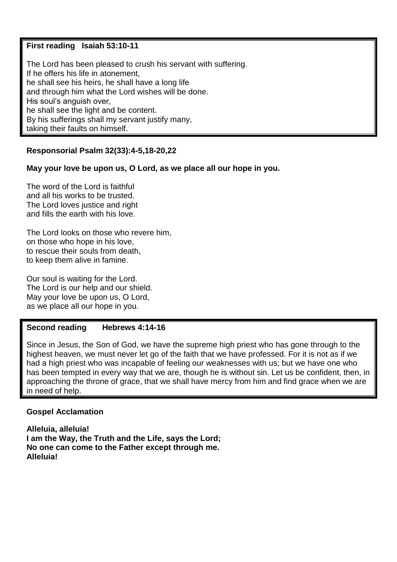## **First reading Isaiah 53:10-11**

The Lord has been pleased to crush his servant with suffering. If he offers his life in atonement, he shall see his heirs, he shall have a long life and through him what the Lord wishes will be done. His soul's anguish over, he shall see the light and be content. By his sufferings shall my servant justify many, taking their faults on himself.

## **Responsorial Psalm 32(33):4-5,18-20,22**

**May your love be upon us, O Lord, as we place all our hope in you.**

The word of the Lord is faithful and all his works to be trusted. The Lord loves justice and right and fills the earth with his love.

The Lord looks on those who revere him, on those who hope in his love, to rescue their souls from death, to keep them alive in famine.

Our soul is waiting for the Lord. The Lord is our help and our shield. May your love be upon us, O Lord, as we place all our hope in you.

### **Second reading Hebrews 4:14-16**

Since in Jesus, the Son of God, we have the supreme high priest who has gone through to the highest heaven, we must never let go of the faith that we have professed. For it is not as if we had a high priest who was incapable of feeling our weaknesses with us; but we have one who has been tempted in every way that we are, though he is without sin. Let us be confident, then, in approaching the throne of grace, that we shall have mercy from him and find grace when we are in need of help.

### **Gospel Acclamation**

**Alleluia, alleluia! I am the Way, the Truth and the Life, says the Lord; No one can come to the Father except through me. Alleluia!**